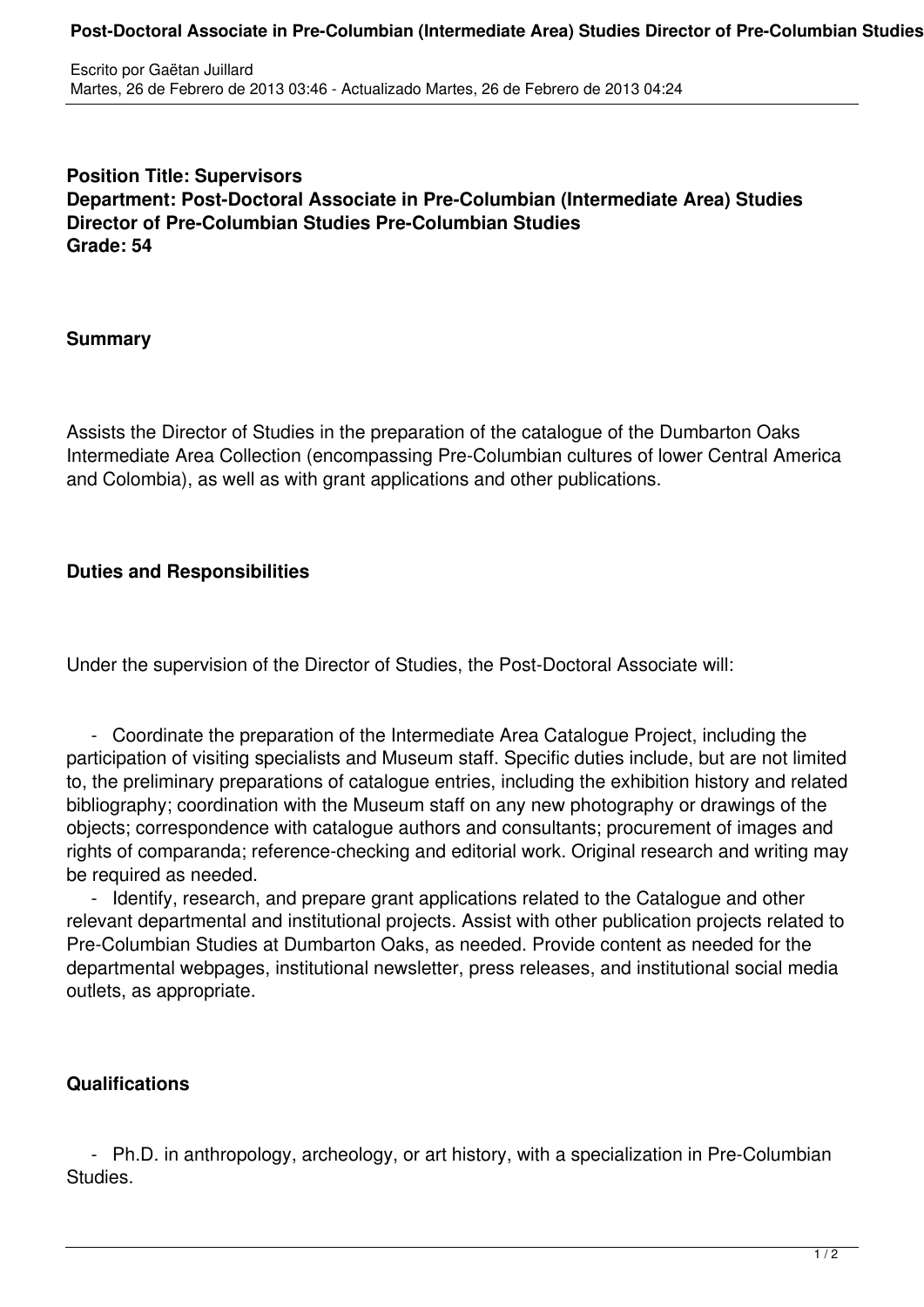#### **Post-Doctoral Associate in Pre-Columbian (Intermediate Area) Studies Director of Pre-Columbian Studies Pre-Columbian Studies**

**Position Title: Supervisors Department: Post-Doctoral Associate in Pre-Columbian (Intermediate Area) Studies Director of Pre-Columbian Studies Pre-Columbian Studies Grade: 54**

#### **Summary**

Assists the Director of Studies in the preparation of the catalogue of the Dumbarton Oaks Intermediate Area Collection (encompassing Pre-Columbian cultures of lower Central America and Colombia), as well as with grant applications and other publications.

# **Duties and Responsibilities**

Under the supervision of the Director of Studies, the Post-Doctoral Associate will:

 - Coordinate the preparation of the Intermediate Area Catalogue Project, including the participation of visiting specialists and Museum staff. Specific duties include, but are not limited to, the preliminary preparations of catalogue entries, including the exhibition history and related bibliography; coordination with the Museum staff on any new photography or drawings of the objects; correspondence with catalogue authors and consultants; procurement of images and rights of comparanda; reference-checking and editorial work. Original research and writing may be required as needed.

 - Identify, research, and prepare grant applications related to the Catalogue and other relevant departmental and institutional projects. Assist with other publication projects related to Pre-Columbian Studies at Dumbarton Oaks, as needed. Provide content as needed for the departmental webpages, institutional newsletter, press releases, and institutional social media outlets, as appropriate.

# **Qualifications**

 - Ph.D. in anthropology, archeology, or art history, with a specialization in Pre-Columbian **Studies**